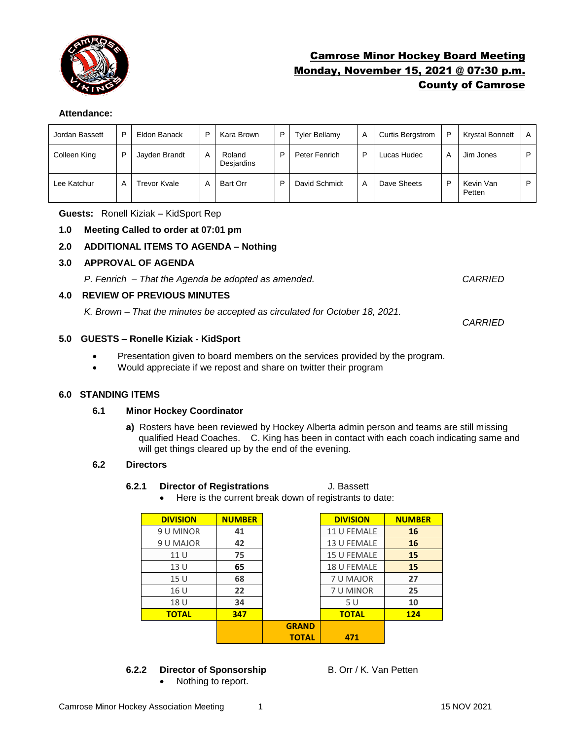

# Camrose Minor Hockey Board Meeting Monday, November 15, 2021 @ 07:30 p.m. County of Camrose

## **Attendance:**

| Jordan Bassett | P | Eldon Banack        | P | Kara Brown           | D | <b>Tyler Bellamy</b> | Α | <b>Curtis Bergstrom</b> | P | <b>Krystal Bonnett</b> | A |
|----------------|---|---------------------|---|----------------------|---|----------------------|---|-------------------------|---|------------------------|---|
| Colleen King   | D | Jayden Brandt       | А | Roland<br>Desjardins | D | Peter Fenrich        | P | Lucas Hudec             | A | Jim Jones              | P |
| Lee Katchur    | А | <b>Trevor Kvale</b> | Α | Bart Orr             | P | David Schmidt        | A | Dave Sheets             | Þ | Kevin Van<br>Petten    | P |

**Guests:** Ronell Kiziak – KidSport Rep

#### **1.0 Meeting Called to order at 07:01 pm**

## **2.0 ADDITIONAL ITEMS TO AGENDA – Nothing**

#### **3.0 APPROVAL OF AGENDA**

*P. Fenrich – That the Agenda be adopted as amended. CARRIED*

#### **4.0 REVIEW OF PREVIOUS MINUTES**

*K. Brown – That the minutes be accepted as circulated for October 18, 2021.* 

### **5.0 GUESTS – Ronelle Kiziak - KidSport**

- Presentation given to board members on the services provided by the program.
- Would appreciate if we repost and share on twitter their program

#### **6.0 STANDING ITEMS**

### **6.1 Minor Hockey Coordinator**

**a)** Rosters have been reviewed by Hockey Alberta admin person and teams are still missing qualified Head Coaches. C. King has been in contact with each coach indicating same and will get things cleared up by the end of the evening.

#### **6.2 Directors**

#### **6.2.1 Director of Registrations** J. Bassett

• Here is the current break down of registrants to date:

| <b>DIVISION</b> | <b>NUMBER</b> |              | <b>DIVISION</b> | <b>NUMBER</b> |
|-----------------|---------------|--------------|-----------------|---------------|
| 9 U MINOR       | 41            |              | 11 U FEMALE     | 16            |
| 9 U MAJOR       | 42            |              | 13 U FEMALE     | 16            |
| 11U             | 75            |              | 15 U FEMALE     | 15            |
| 13 U            | 65            |              | 18 U FEMALE     | 15            |
| 15 U            | 68            |              | 7 U MAJOR       | 27            |
| 16 U            | 22            |              | 7 U MINOR       | 25            |
| 18 U            | 34            |              | 5U              | 10            |
| <b>TOTAL</b>    | 347           |              | <b>TOTAL</b>    | 124           |
|                 |               | <b>GRAND</b> |                 |               |
|                 |               | <b>TOTAL</b> | 471             |               |

## **6.2.2 Director of Sponsorship** B. Orr / K. Van Petten

• Nothing to report.

*CARRIED*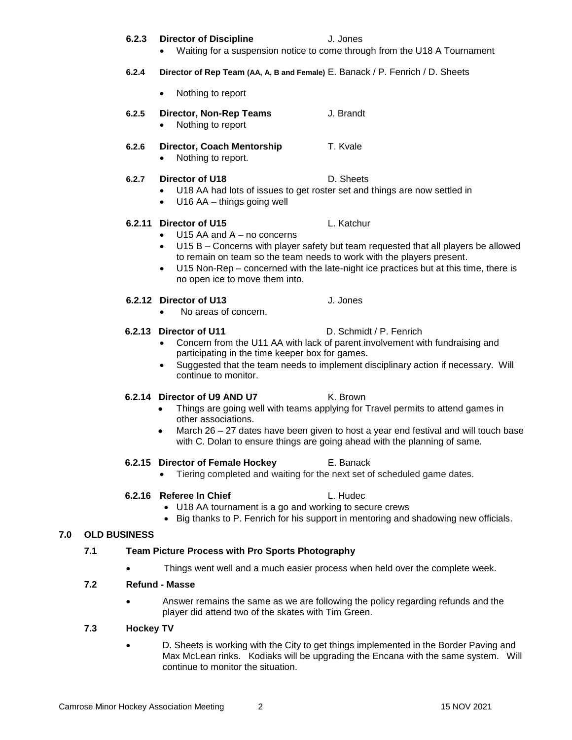#### Camrose Minor Hockey Association Meeting 2 15 NOV 2021

### **6.2.3 Director of Discipline** J. Jones

- Waiting for a suspension notice to come through from the U18 A Tournament
- **6.2.4 Director of Rep Team (AA, A, B and Female)** E. Banack / P. Fenrich / D. Sheets
	- Nothing to report
- **6.2.5 Director, Non-Rep Teams** J. Brandt
	- Nothing to report
- **6.2.6 Director, Coach Mentorship** T. Kvale • Nothing to report.
- **6.2.7 Director of U18** D. Sheets
	- U18 AA had lots of issues to get roster set and things are now settled in
	- U16 AA things going well

## **6.2.11 Director of U15** L. Katchur

- U15 AA and A no concerns
- U15 B Concerns with player safety but team requested that all players be allowed to remain on team so the team needs to work with the players present.
- U15 Non-Rep concerned with the late-night ice practices but at this time, there is no open ice to move them into.

## **6.2.12 Director of U13** J. Jones

• No areas of concern.

## **6.2.13 Director of U11** D. Schmidt / P. Fenrich

- Concern from the U11 AA with lack of parent involvement with fundraising and participating in the time keeper box for games.
- Suggested that the team needs to implement disciplinary action if necessary. Will continue to monitor.

## **6.2.14 Director of U9 AND U7** K. Brown

- Things are going well with teams applying for Travel permits to attend games in other associations.
- March 26 27 dates have been given to host a year end festival and will touch base with C. Dolan to ensure things are going ahead with the planning of same.

## **6.2.15 Director of Female Hockey** E. Banack

• Tiering completed and waiting for the next set of scheduled game dates.

## **6.2.16 Referee In Chief L. Hudec**

## • U18 AA tournament is a go and working to secure crews

• Big thanks to P. Fenrich for his support in mentoring and shadowing new officials.

## **7.0 OLD BUSINESS**

## **7.1 Team Picture Process with Pro Sports Photography**

• Things went well and a much easier process when held over the complete week.

## **7.2 Refund - Masse**

• Answer remains the same as we are following the policy regarding refunds and the player did attend two of the skates with Tim Green.

# **7.3 Hockey TV**

• D. Sheets is working with the City to get things implemented in the Border Paving and Max McLean rinks. Kodiaks will be upgrading the Encana with the same system. Will continue to monitor the situation.

- 
- 
- 
- 
- 
- 
-